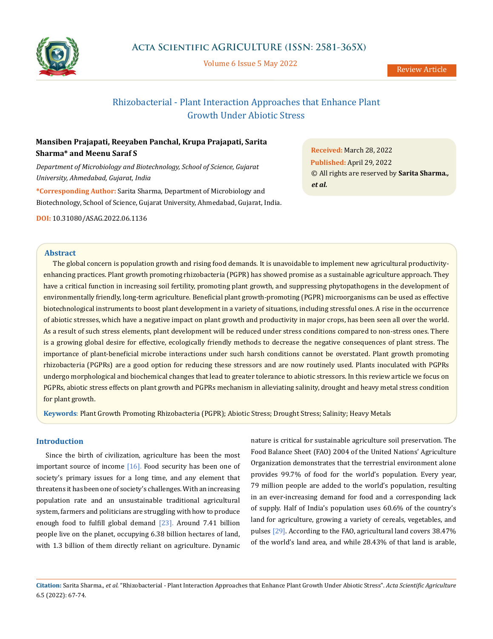

Volume 6 Issue 5 May 2022

# Rhizobacterial - Plant Interaction Approaches that Enhance Plant Growth Under Abiotic Stress

# **Mansiben Prajapati, Reeyaben Panchal, Krupa Prajapati, Sarita Sharma\* and Meenu Saraf S**

*Department of Microbiology and Biotechnology, School of Science, Gujarat University, Ahmedabad, Gujarat, India*

**\*Corresponding Author:** Sarita Sharma, Department of Microbiology and Biotechnology, School of Science, Gujarat University, Ahmedabad, Gujarat, India.

**DOI:** [10.31080/ASAG.2022.06.1136](http://actascientific.com/ASAG/pdf/ASAG-06-1136.pdf)

**Abstract**

The global concern is population growth and rising food demands. It is unavoidable to implement new agricultural productivityenhancing practices. Plant growth promoting rhizobacteria (PGPR) has showed promise as a sustainable agriculture approach. They have a critical function in increasing soil fertility, promoting plant growth, and suppressing phytopathogens in the development of environmentally friendly, long-term agriculture. Beneficial plant growth-promoting (PGPR) microorganisms can be used as effective biotechnological instruments to boost plant development in a variety of situations, including stressful ones. A rise in the occurrence of abiotic stresses, which have a negative impact on plant growth and productivity in major crops, has been seen all over the world. As a result of such stress elements, plant development will be reduced under stress conditions compared to non-stress ones. There is a growing global desire for effective, ecologically friendly methods to decrease the negative consequences of plant stress. The importance of plant-beneficial microbe interactions under such harsh conditions cannot be overstated. Plant growth promoting rhizobacteria (PGPRs) are a good option for reducing these stressors and are now routinely used. Plants inoculated with PGPRs undergo morphological and biochemical changes that lead to greater tolerance to abiotic stressors. In this review article we focus on PGPRs, abiotic stress effects on plant growth and PGPRs mechanism in alleviating salinity, drought and heavy metal stress condition for plant growth.

**Keywords**: Plant Growth Promoting Rhizobacteria (PGPR); Abiotic Stress; Drought Stress; Salinity; Heavy Metals

## **Introduction**

Since the birth of civilization, agriculture has been the most important source of income [16]. Food security has been one of society's primary issues for a long time, and any element that threatens it has been one of society's challenges. With an increasing population rate and an unsustainable traditional agricultural system, farmers and politicians are struggling with how to produce enough food to fulfill global demand [23]. Around 7.41 billion people live on the planet, occupying 6.38 billion hectares of land, with 1.3 billion of them directly reliant on agriculture. Dynamic nature is critical for sustainable agriculture soil preservation. The Food Balance Sheet (FAO) 2004 of the United Nations' Agriculture Organization demonstrates that the terrestrial environment alone provides 99.7% of food for the world's population. Every year, 79 million people are added to the world's population, resulting in an ever-increasing demand for food and a corresponding lack of supply. Half of India's population uses 60.6% of the country's land for agriculture, growing a variety of cereals, vegetables, and pulses [29]. According to the FAO, agricultural land covers 38.47% of the world's land area, and while 28.43% of that land is arable,

**Received:** March 28, 2022 **Published:** April 29, 2022 © All rights are reserved by **Sarita Sharma***., et al.*

**Citation:** Sarita Sharma*., et al.* "Rhizobacterial - Plant Interaction Approaches that Enhance Plant Growth Under Abiotic Stress". *Acta Scientific Agriculture*  6.5 (2022): 67-74.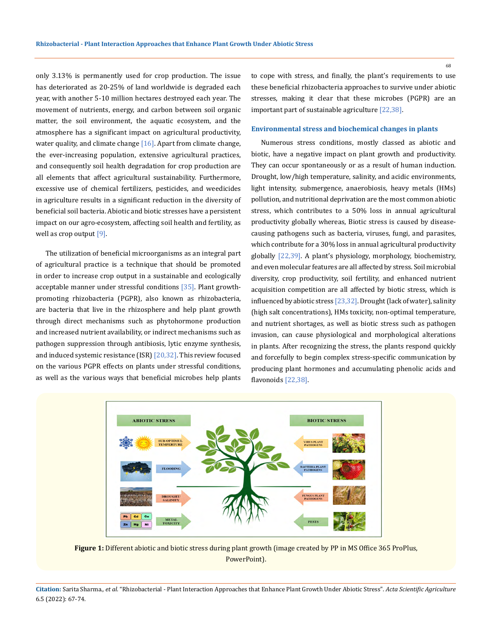only 3.13% is permanently used for crop production. The issue has deteriorated as 20-25% of land worldwide is degraded each year, with another 5-10 million hectares destroyed each year. The movement of nutrients, energy, and carbon between soil organic matter, the soil environment, the aquatic ecosystem, and the atmosphere has a significant impact on agricultural productivity, water quality, and climate change  $[16]$ . Apart from climate change, the ever-increasing population, extensive agricultural practices, and consequently soil health degradation for crop production are all elements that affect agricultural sustainability. Furthermore, excessive use of chemical fertilizers, pesticides, and weedicides in agriculture results in a significant reduction in the diversity of beneficial soil bacteria. Abiotic and biotic stresses have a persistent impact on our agro-ecosystem, affecting soil health and fertility, as well as crop output [9].

The utilization of beneficial microorganisms as an integral part of agricultural practice is a technique that should be promoted in order to increase crop output in a sustainable and ecologically acceptable manner under stressful conditions [35]. Plant growthpromoting rhizobacteria (PGPR), also known as rhizobacteria, are bacteria that live in the rhizosphere and help plant growth through direct mechanisms such as phytohormone production and increased nutrient availability, or indirect mechanisms such as pathogen suppression through antibiosis, lytic enzyme synthesis, and induced systemic resistance (ISR)  $[20,32]$ . This review focused on the various PGPR effects on plants under stressful conditions, as well as the various ways that beneficial microbes help plants

to cope with stress, and finally, the plant's requirements to use these beneficial rhizobacteria approaches to survive under abiotic stresses, making it clear that these microbes (PGPR) are an important part of sustainable agriculture [22,38].

### **Environmental stress and biochemical changes in plants**

Numerous stress conditions, mostly classed as abiotic and biotic, have a negative impact on plant growth and productivity. They can occur spontaneously or as a result of human induction. Drought, low/high temperature, salinity, and acidic environments, light intensity, submergence, anaerobiosis, heavy metals (HMs) pollution, and nutritional deprivation are the most common abiotic stress, which contributes to a 50% loss in annual agricultural productivity globally whereas, Biotic stress is caused by diseasecausing pathogens such as bacteria, viruses, fungi, and parasites, which contribute for a 30% loss in annual agricultural productivity globally [22,39]. A plant's physiology, morphology, biochemistry, and even molecular features are all affected by stress. Soil microbial diversity, crop productivity, soil fertility, and enhanced nutrient acquisition competition are all affected by biotic stress, which is influenced by abiotic stress [23,32]. Drought (lack of water), salinity (high salt concentrations), HMs toxicity, non-optimal temperature, and nutrient shortages, as well as biotic stress such as pathogen invasion, can cause physiological and morphological alterations in plants. After recognizing the stress, the plants respond quickly and forcefully to begin complex stress-specific communication by producing plant hormones and accumulating phenolic acids and flavonoids [22,38].



**Figure 1:** Different abiotic and biotic stress during plant growth (image created by PP in MS Office 365 ProPlus, PowerPoint).

**Citation:** Sarita Sharma*., et al.* "Rhizobacterial - Plant Interaction Approaches that Enhance Plant Growth Under Abiotic Stress". *Acta Scientific Agriculture*  6.5 (2022): 67-74.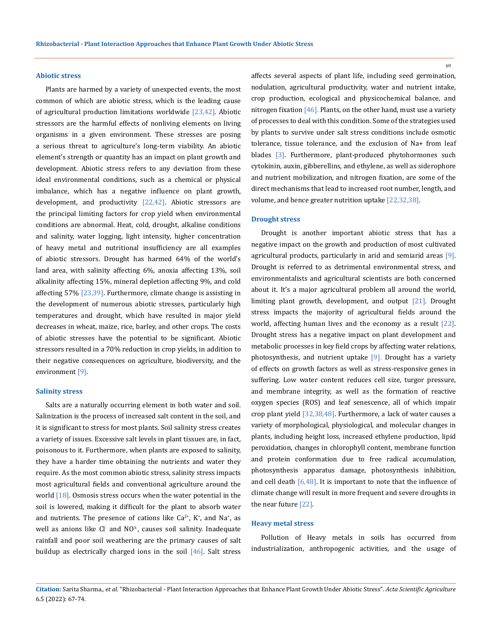#### **Abiotic stress**

Plants are harmed by a variety of unexpected events, the most common of which are abiotic stress, which is the leading cause of agricultural production limitations worldwide  $[23,42]$ . Abiotic stressors are the harmful effects of nonliving elements on living organisms in a given environment. These stresses are posing a serious threat to agriculture's long-term viability. An abiotic element's strength or quantity has an impact on plant growth and development. Abiotic stress refers to any deviation from these ideal environmental conditions, such as a chemical or physical imbalance, which has a negative influence on plant growth, development, and productivity [22,42]. Abiotic stressors are the principal limiting factors for crop yield when environmental conditions are abnormal. Heat, cold, drought, alkaline conditions and salinity, water logging, light intensity, higher concentration of heavy metal and nutritional insufficiency are all examples of abiotic stressors. Drought has harmed 64% of the world's land area, with salinity affecting 6%, anoxia affecting 13%, soil alkalinity affecting 15%, mineral depletion affecting 9%, and cold affecting 57% [23,39]. Furthermore, climate change is assisting in the development of numerous abiotic stresses, particularly high temperatures and drought, which have resulted in major yield decreases in wheat, maize, rice, barley, and other crops. The costs of abiotic stresses have the potential to be significant. Abiotic stressors resulted in a 70% reduction in crop yields, in addition to their negative consequences on agriculture, biodiversity, and the environment [9].

## **Salinity stress**

Salts are a naturally occurring element in both water and soil. Salinization is the process of increased salt content in the soil, and it is significant to stress for most plants. Soil salinity stress creates a variety of issues. Excessive salt levels in plant tissues are, in fact, poisonous to it. Furthermore, when plants are exposed to salinity, they have a harder time obtaining the nutrients and water they require. As the most common abiotic stress, salinity stress impacts most agricultural fields and conventional agriculture around the world  $[18]$ . Osmosis stress occurs when the water potential in the soil is lowered, making it difficult for the plant to absorb water and nutrients. The presence of cations like  $Ca^{2+}$ , K<sup>+</sup>, and Na<sup>+</sup>, as well as anions like  $Cl^-$  and  $NO^3$ , causes soil salinity. Inadequate rainfall and poor soil weathering are the primary causes of salt buildup as electrically charged ions in the soil [46]. Salt stress

affects several aspects of plant life, including seed germination, nodulation, agricultural productivity, water and nutrient intake, crop production, ecological and physicochemical balance, and nitrogen fixation  $[46]$ . Plants, on the other hand, must use a variety of processes to deal with this condition. Some of the strategies used by plants to survive under salt stress conditions include osmotic tolerance, tissue tolerance, and the exclusion of Na+ from leaf blades [3]. Furthermore, plant-produced phytohormones such cytokinin, auxin, gibberellins, and ethylene, as well as siderophore and nutrient mobilization, and nitrogen fixation, are some of the direct mechanisms that lead to increased root number, length, and volume, and hence greater nutrition uptake [22,32,38].

#### **Drought stress**

Drought is another important abiotic stress that has a negative impact on the growth and production of most cultivated agricultural products, particularly in arid and semiarid areas [9]. Drought is referred to as detrimental environmental stress, and environmentalists and agricultural scientists are both concerned about it. It's a major agricultural problem all around the world, limiting plant growth, development, and output [21]. Drought stress impacts the majority of agricultural fields around the world, affecting human lives and the economy as a result [22]. Drought stress has a negative impact on plant development and metabolic processes in key field crops by affecting water relations, photosynthesis, and nutrient uptake  $[9]$ . Drought has a variety of effects on growth factors as well as stress-responsive genes in suffering. Low water content reduces cell size, turgor pressure, and membrane integrity, as well as the formation of reactive oxygen species (ROS) and leaf senescence, all of which impair crop plant yield [32,38,48]. Furthermore, a lack of water causes a variety of morphological, physiological, and molecular changes in plants, including height loss, increased ethylene production, lipid peroxidation, changes in chlorophyll content, membrane function and protein conformation due to free radical accumulation, photosynthesis apparatus damage, photosynthesis inhibition, and cell death  $[6,48]$ . It is important to note that the influence of climate change will result in more frequent and severe droughts in the near future [22].

## **Heavy metal stress**

Pollution of Heavy metals in soils has occurred from industrialization, anthropogenic activities, and the usage of

**Citation:** Sarita Sharma*., et al.* "Rhizobacterial - Plant Interaction Approaches that Enhance Plant Growth Under Abiotic Stress". *Acta Scientific Agriculture*  6.5 (2022): 67-74.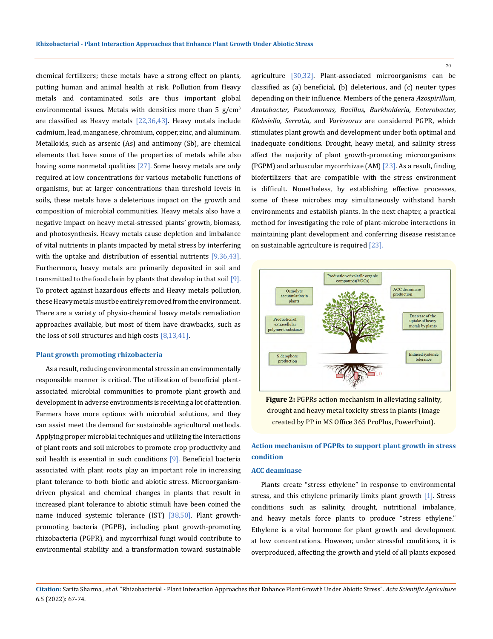chemical fertilizers; these metals have a strong effect on plants, putting human and animal health at risk. Pollution from Heavy metals and contaminated soils are thus important global environmental issues. Metals with densities more than 5  $g/cm<sup>3</sup>$ are classified as Heavy metals  $[22,36,43]$ . Heavy metals include cadmium, lead, manganese, chromium, copper, zinc, and aluminum. Metalloids, such as arsenic (As) and antimony (Sb), are chemical elements that have some of the properties of metals while also having some nonmetal qualities [27]. Some heavy metals are only required at low concentrations for various metabolic functions of organisms, but at larger concentrations than threshold levels in soils, these metals have a deleterious impact on the growth and composition of microbial communities. Heavy metals also have a negative impact on heavy metal-stressed plants' growth, biomass, and photosynthesis. Heavy metals cause depletion and imbalance of vital nutrients in plants impacted by metal stress by interfering with the uptake and distribution of essential nutrients  $[9,36,43]$ . Furthermore, heavy metals are primarily deposited in soil and transmitted to the food chain by plants that develop in that soil  $[9]$ . To protect against hazardous effects and Heavy metals pollution, these Heavy metals must be entirely removed from the environment. There are a variety of physio-chemical heavy metals remediation approaches available, but most of them have drawbacks, such as the loss of soil structures and high costs  $[8,13,41]$ .

#### **Plant growth promoting rhizobacteria**

As a result, reducing environmental stress in an environmentally responsible manner is critical. The utilization of beneficial plantassociated microbial communities to promote plant growth and development in adverse environments is receiving a lot of attention. Farmers have more options with microbial solutions, and they can assist meet the demand for sustainable agricultural methods. Applying proper microbial techniques and utilizing the interactions of plant roots and soil microbes to promote crop productivity and soil health is essential in such conditions [9]. Beneficial bacteria associated with plant roots play an important role in increasing plant tolerance to both biotic and abiotic stress. Microorganismdriven physical and chemical changes in plants that result in increased plant tolerance to abiotic stimuli have been coined the name induced systemic tolerance (IST) [38,50]. Plant growthpromoting bacteria (PGPB), including plant growth-promoting rhizobacteria (PGPR), and mycorrhizal fungi would contribute to environmental stability and a transformation toward sustainable

agriculture [30,32]. Plant-associated microorganisms can be classified as (a) beneficial, (b) deleterious, and (c) neuter types depending on their influence. Members of the genera *Azospirillum, Azotobacter, Pseudomonas, Bacillus, Burkholderia, Enterobacter, Klebsiella, Serratia,* and *Variovorax* are considered PGPR, which stimulates plant growth and development under both optimal and inadequate conditions. Drought, heavy metal, and salinity stress affect the majority of plant growth-promoting microorganisms (PGPM) and arbuscular mycorrhizae (AM) [23]. As a result, finding biofertilizers that are compatible with the stress environment is difficult. Nonetheless, by establishing effective processes, some of these microbes may simultaneously withstand harsh environments and establish plants. In the next chapter, a practical method for investigating the role of plant-microbe interactions in maintaining plant development and conferring disease resistance on sustainable agriculture is required [23].



**Figure 2:** PGPRs action mechanism in alleviating salinity, drought and heavy metal toxicity stress in plants (image created by PP in MS Office 365 ProPlus, PowerPoint).

# **Action mechanism of PGPRs to support plant growth in stress condition**

## **ACC deaminase**

Plants create "stress ethylene" in response to environmental stress, and this ethylene primarily limits plant growth [1]. Stress conditions such as salinity, drought, nutritional imbalance, and heavy metals force plants to produce "stress ethylene." Ethylene is a vital hormone for plant growth and development at low concentrations. However, under stressful conditions, it is overproduced, affecting the growth and yield of all plants exposed

**Citation:** Sarita Sharma*., et al.* "Rhizobacterial - Plant Interaction Approaches that Enhance Plant Growth Under Abiotic Stress". *Acta Scientific Agriculture*  6.5 (2022): 67-74.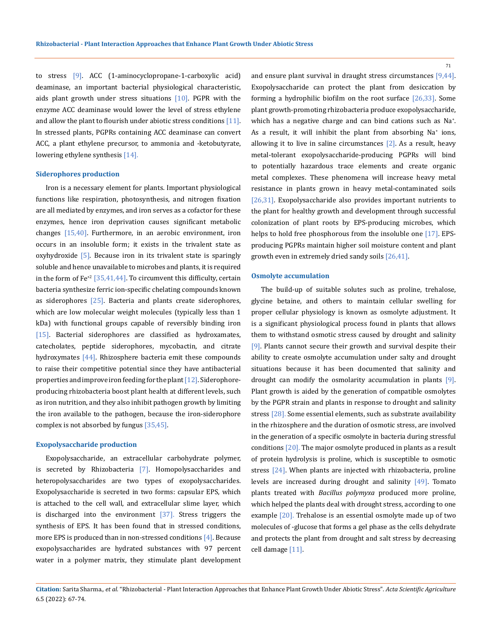to stress [9]. ACC (1-aminocyclopropane-1-carboxylic acid) deaminase, an important bacterial physiological characteristic, aids plant growth under stress situations  $[10]$ . PGPR with the enzyme ACC deaminase would lower the level of stress ethylene and allow the plant to flourish under abiotic stress conditions [11]. In stressed plants, PGPRs containing ACC deaminase can convert ACC, a plant ethylene precursor, to ammonia and -ketobutyrate, lowering ethylene synthesis [14].

### **Siderophores production**

Iron is a necessary element for plants. Important physiological functions like respiration, photosynthesis, and nitrogen fixation are all mediated by enzymes, and iron serves as a cofactor for these enzymes, hence iron deprivation causes significant metabolic changes [15,40]. Furthermore, in an aerobic environment, iron occurs in an insoluble form; it exists in the trivalent state as oxyhydroxide [5]. Because iron in its trivalent state is sparingly soluble and hence unavailable to microbes and plants, it is required in the form of  $Fe^{+2}$  [35,41,44]. To circumvent this difficulty, certain bacteria synthesize ferric ion-specific chelating compounds known as siderophores  $[25]$ . Bacteria and plants create siderophores, which are low molecular weight molecules (typically less than 1 kDa) with functional groups capable of reversibly binding iron [15]. Bacterial siderophores are classified as hydroxamates, catecholates, peptide siderophores, mycobactin, and citrate hydroxymates  $[44]$ . Rhizosphere bacteria emit these compounds to raise their competitive potential since they have antibacterial properties and improve iron feeding for the plant [12]. Siderophoreproducing rhizobacteria boost plant health at different levels, such as iron nutrition, and they also inhibit pathogen growth by limiting the iron available to the pathogen, because the iron-siderophore complex is not absorbed by fungus [35,45].

#### **Exopolysaccharide production**

Exopolysaccharide, an extracellular carbohydrate polymer, is secreted by Rhizobacteria [7]. Homopolysaccharides and heteropolysaccharides are two types of exopolysaccharides. Exopolysaccharide is secreted in two forms: capsular EPS, which is attached to the cell wall, and extracellular slime layer, which is discharged into the environment  $[37]$ . Stress triggers the synthesis of EPS. It has been found that in stressed conditions, more EPS is produced than in non-stressed conditions [4]. Because exopolysaccharides are hydrated substances with 97 percent water in a polymer matrix, they stimulate plant development

and ensure plant survival in draught stress circumstances [9,44]. Exopolysaccharide can protect the plant from desiccation by forming a hydrophilic biofilm on the root surface [26,33]. Some plant growth-promoting rhizobacteria produce exopolysaccharide, which has a negative charge and can bind cations such as Na+ . As a result, it will inhibit the plant from absorbing Na<sup>+</sup> ions, allowing it to live in saline circumstances  $[2]$ . As a result, heavy metal-tolerant exopolysaccharide-producing PGPRs will bind to potentially hazardous trace elements and create organic metal complexes. These phenomena will increase heavy metal resistance in plants grown in heavy metal-contaminated soils [26,31]. Exopolysaccharide also provides important nutrients to the plant for healthy growth and development through successful colonization of plant roots by EPS-producing microbes, which helps to hold free phosphorous from the insoluble one [17]. EPSproducing PGPRs maintain higher soil moisture content and plant growth even in extremely dried sandy soils [26,41].

#### **Osmolyte accumulation**

The build-up of suitable solutes such as proline, trehalose, glycine betaine, and others to maintain cellular swelling for proper cellular physiology is known as osmolyte adjustment. It is a significant physiological process found in plants that allows them to withstand osmotic stress caused by drought and salinity [9]. Plants cannot secure their growth and survival despite their ability to create osmolyte accumulation under salty and drought situations because it has been documented that salinity and drought can modify the osmolarity accumulation in plants [9]. Plant growth is aided by the generation of compatible osmolytes by the PGPR strain and plants in response to drought and salinity stress [28]. Some essential elements, such as substrate availability in the rhizosphere and the duration of osmotic stress, are involved in the generation of a specific osmolyte in bacteria during stressful conditions [20]. The major osmolyte produced in plants as a result of protein hydrolysis is proline, which is susceptible to osmotic stress [24]. When plants are injected with rhizobacteria, proline levels are increased during drought and salinity [49]. Tomato plants treated with *Bacillus polymyxa* produced more proline, which helped the plants deal with drought stress, according to one example [20]. Trehalose is an essential osmolyte made up of two molecules of -glucose that forms a gel phase as the cells dehydrate and protects the plant from drought and salt stress by decreasing cell damage [11].

**Citation:** Sarita Sharma*., et al.* "Rhizobacterial - Plant Interaction Approaches that Enhance Plant Growth Under Abiotic Stress". *Acta Scientific Agriculture*  6.5 (2022): 67-74.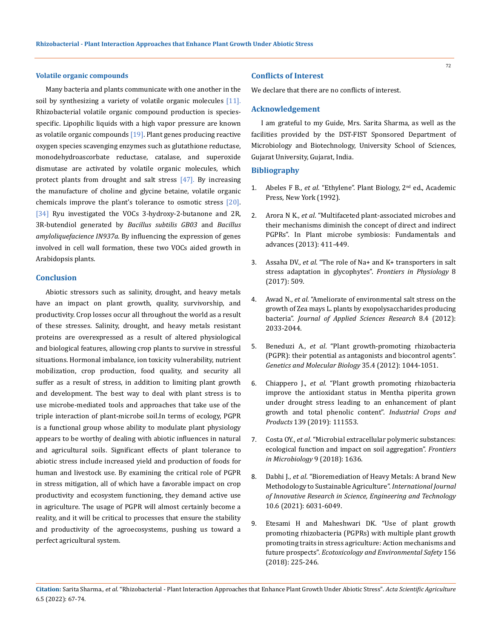## **Volatile organic compounds**

Many bacteria and plants communicate with one another in the soil by synthesizing a variety of volatile organic molecules [11]. Rhizobacterial volatile organic compound production is speciesspecific. Lipophilic liquids with a high vapor pressure are known as volatile organic compounds  $[19]$ . Plant genes producing reactive oxygen species scavenging enzymes such as glutathione reductase, monodehydroascorbate reductase, catalase, and superoxide dismutase are activated by volatile organic molecules, which protect plants from drought and salt stress  $[47]$ . By increasing the manufacture of choline and glycine betaine, volatile organic chemicals improve the plant's tolerance to osmotic stress [20]. [34] Ryu investigated the VOCs 3-hydroxy-2-butanone and 2R, 3R-butendiol generated by *Bacillus subtilis GB03* and *Bacillus amyloliquefacience IN937a*. By influencing the expression of genes involved in cell wall formation, these two VOCs aided growth in Arabidopsis plants.

## **Conclusion**

Abiotic stressors such as salinity, drought, and heavy metals have an impact on plant growth, quality, survivorship, and productivity. Crop losses occur all throughout the world as a result of these stresses. Salinity, drought, and heavy metals resistant proteins are overexpressed as a result of altered physiological and biological features, allowing crop plants to survive in stressful situations. Hormonal imbalance, ion toxicity vulnerability, nutrient mobilization, crop production, food quality, and security all suffer as a result of stress, in addition to limiting plant growth and development. The best way to deal with plant stress is to use microbe-mediated tools and approaches that take use of the triple interaction of plant-microbe soil.In terms of ecology, PGPR is a functional group whose ability to modulate plant physiology appears to be worthy of dealing with abiotic influences in natural and agricultural soils. Significant effects of plant tolerance to abiotic stress include increased yield and production of foods for human and livestock use. By examining the critical role of PGPR in stress mitigation, all of which have a favorable impact on crop productivity and ecosystem functioning, they demand active use in agriculture. The usage of PGPR will almost certainly become a reality, and it will be critical to processes that ensure the stability and productivity of the agroecosystems, pushing us toward a perfect agricultural system.

## **Conflicts of Interest**

We declare that there are no conflicts of interest.

## **Acknowledgement**

I am grateful to my Guide, Mrs. Sarita Sharma, as well as the facilities provided by the DST-FIST Sponsored Department of Microbiology and Biotechnology, University School of Sciences, Gujarat University, Gujarat, India.

## **Bibliography**

- 1. Abeles F B., *et al*. "Ethylene". Plant Biology, 2nd ed., Academic Press, New York (1992).
- 2. Arora N K., *et al*[. "Multifaceted plant-associated microbes and](https://link.springer.com/chapter/10.1007/978-81-322-1287-4_16)  [their mechanisms diminish the concept of direct and indirect](https://link.springer.com/chapter/10.1007/978-81-322-1287-4_16)  [PGPRs". In Plant microbe symbiosis: Fundamentals and](https://link.springer.com/chapter/10.1007/978-81-322-1287-4_16)  [advances \(2013\): 411-449.](https://link.springer.com/chapter/10.1007/978-81-322-1287-4_16)
- 3. Assaha DV., *et al*[. "The role of Na+ and K+ transporters in salt](https://www.frontiersin.org/articles/10.3389/fphys.2017.00509/full)  [stress adaptation in glycophytes".](https://www.frontiersin.org/articles/10.3389/fphys.2017.00509/full) *Frontiers in Physiology* 8 [\(2017\): 509.](https://www.frontiersin.org/articles/10.3389/fphys.2017.00509/full)
- 4. Awad N., *et al*[. "Ameliorate of environmental salt stress on the](https://www.researchgate.net/publication/261175275_Ameliorate_of_Environmental_Salt_Stress_on_the_Growth_of_Zea_mays_L_Plants_By_Exopolysaccharides_Producing_Bacteria)  [growth of Zea mays L. plants by exopolysaccharides producing](https://www.researchgate.net/publication/261175275_Ameliorate_of_Environmental_Salt_Stress_on_the_Growth_of_Zea_mays_L_Plants_By_Exopolysaccharides_Producing_Bacteria)  bacteria". *[Journal of Applied Sciences Research](https://www.researchgate.net/publication/261175275_Ameliorate_of_Environmental_Salt_Stress_on_the_Growth_of_Zea_mays_L_Plants_By_Exopolysaccharides_Producing_Bacteria)* 8.4 (2012): [2033-2044.](https://www.researchgate.net/publication/261175275_Ameliorate_of_Environmental_Salt_Stress_on_the_Growth_of_Zea_mays_L_Plants_By_Exopolysaccharides_Producing_Bacteria)
- 5. Beneduzi A., *et al*. "Plant growth-promoting rhizobacteria (PGPR): their potential as antagonists and biocontrol agents". *Genetics and Molecular Biology* 35.4 (2012): 1044-1051.
- 6. Chiappero J., *et al*[. "Plant growth promoting rhizobacteria](https://www.sciencedirect.com/science/article/abs/pii/S0926669019305643)  [improve the antioxidant status in Mentha piperita grown](https://www.sciencedirect.com/science/article/abs/pii/S0926669019305643)  [under drought stress leading to an enhancement of plant](https://www.sciencedirect.com/science/article/abs/pii/S0926669019305643)  [growth and total phenolic content".](https://www.sciencedirect.com/science/article/abs/pii/S0926669019305643) *Industrial Crops and Products* [139 \(2019\): 111553.](https://www.sciencedirect.com/science/article/abs/pii/S0926669019305643)
- 7. Costa OY., *et al*[. "Microbial extracellular polymeric substances:](https://www.frontiersin.org/articles/10.3389/fmicb.2018.01636/full)  [ecological function and impact on soil aggregation".](https://www.frontiersin.org/articles/10.3389/fmicb.2018.01636/full) *Frontiers [in Microbiology](https://www.frontiersin.org/articles/10.3389/fmicb.2018.01636/full)* 9 (2018): 1636.
- 8. Dabhi J., *et al*[. "Bioremediation of Heavy Metals: A brand New](https://link.springer.com/chapter/10.1007/978-981-13-7665-8_13)  [Methodology to Sustainable Agriculture".](https://link.springer.com/chapter/10.1007/978-981-13-7665-8_13) *International Journal [of Innovative Research in Science, Engineering and Technology](https://link.springer.com/chapter/10.1007/978-981-13-7665-8_13)* [10.6 \(2021\): 6031-6049.](https://link.springer.com/chapter/10.1007/978-981-13-7665-8_13)
- 9. [Etesami H and Maheshwari DK. "Use of plant growth](https://pubmed.ncbi.nlm.nih.gov/29554608/)  [promoting rhizobacteria \(PGPRs\) with multiple plant growth](https://pubmed.ncbi.nlm.nih.gov/29554608/)  [promoting traits in stress agriculture: Action mechanisms and](https://pubmed.ncbi.nlm.nih.gov/29554608/)  future prospects". *[Ecotoxicology and Environmental Safety](https://pubmed.ncbi.nlm.nih.gov/29554608/)* 156 [\(2018\): 225-246.](https://pubmed.ncbi.nlm.nih.gov/29554608/)

**Citation:** Sarita Sharma*., et al.* "Rhizobacterial - Plant Interaction Approaches that Enhance Plant Growth Under Abiotic Stress". *Acta Scientific Agriculture*  6.5 (2022): 67-74.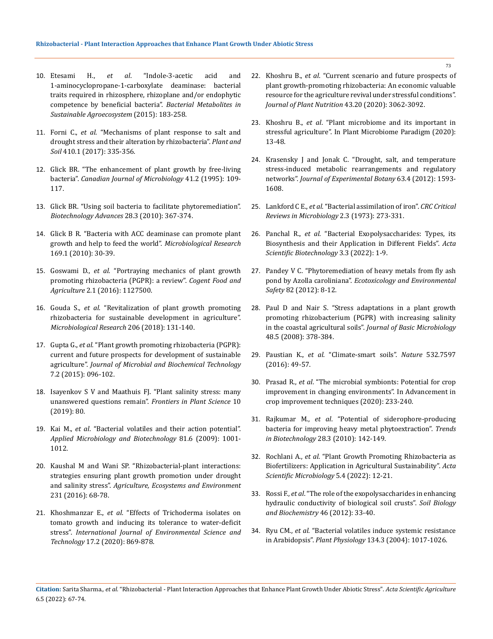- 10. Etesami H., *et al*. "Indole-3-acetic acid and 1-aminocyclopropane-1-carboxylate deaminase: bacterial traits required in rhizosphere, rhizoplane and/or endophytic competence by beneficial bacteria". *Bacterial Metabolites in Sustainable Agroecosystem* (2015): 183-258.
- 11. Forni C., *et al*[. "Mechanisms of plant response to salt and](https://link.springer.com/article/10.1007/s11104-016-3007-x)  [drought stress and their alteration by rhizobacteria".](https://link.springer.com/article/10.1007/s11104-016-3007-x) *Plant and Soil* [410.1 \(2017\): 335-356.](https://link.springer.com/article/10.1007/s11104-016-3007-x)
- 12. [Glick BR. "The enhancement of plant growth by free-living](https://cdnsciencepub.com/doi/abs/10.1139/m95-015)  bacteria". *[Canadian Journal of Microbiology](https://cdnsciencepub.com/doi/abs/10.1139/m95-015)* 41.2 (1995): 109- [117.](https://cdnsciencepub.com/doi/abs/10.1139/m95-015)
- 13. [Glick BR. "Using soil bacteria to facilitate phytoremediation".](https://pubmed.ncbi.nlm.nih.gov/20149857/)  *[Biotechnology Advances](https://pubmed.ncbi.nlm.nih.gov/20149857/)* 28.3 (2010): 367-374.
- 14. [Glick B R. "Bacteria with ACC deaminase can promote plant](https://www.sciencedirect.com/science/article/pii/S094450131300150X)  [growth and help to feed the world".](https://www.sciencedirect.com/science/article/pii/S094450131300150X) *Microbiological Research* [169.1 \(2010\): 30-39.](https://www.sciencedirect.com/science/article/pii/S094450131300150X)
- 15. Goswami D., *et al*[. "Portraying mechanics of plant growth](https://www.tandfonline.com/doi/full/10.1080/23311932.2015.1127500)  [promoting rhizobacteria \(PGPR\): a review".](https://www.tandfonline.com/doi/full/10.1080/23311932.2015.1127500) *Cogent Food and Agriculture* [2.1 \(2016\): 1127500.](https://www.tandfonline.com/doi/full/10.1080/23311932.2015.1127500)
- 16. Gouda S., *et al*[. "Revitalization of plant growth promoting](https://www.sciencedirect.com/science/article/pii/S0944501317303415)  [rhizobacteria for sustainable development in agriculture".](https://www.sciencedirect.com/science/article/pii/S0944501317303415)  *[Microbiological Research](https://www.sciencedirect.com/science/article/pii/S0944501317303415)* 206 (2018): 131-140.
- 17. Gupta G., *et al*[. "Plant growth promoting rhizobacteria \(PGPR\):](https://www.walshmedicalmedia.com/open-access/plant-growth-promoting-rhizobacteria-pgpr-current-and-future-prospects-for-development-of-sustainable-agriculture-1948-5948-1000188.pdf)  [current and future prospects for development of sustainable](https://www.walshmedicalmedia.com/open-access/plant-growth-promoting-rhizobacteria-pgpr-current-and-future-prospects-for-development-of-sustainable-agriculture-1948-5948-1000188.pdf)  agriculture". *[Journal of Microbial and Biochemical Technology](https://www.walshmedicalmedia.com/open-access/plant-growth-promoting-rhizobacteria-pgpr-current-and-future-prospects-for-development-of-sustainable-agriculture-1948-5948-1000188.pdf)*  [7.2 \(2015\): 096-102.](https://www.walshmedicalmedia.com/open-access/plant-growth-promoting-rhizobacteria-pgpr-current-and-future-prospects-for-development-of-sustainable-agriculture-1948-5948-1000188.pdf)
- 18. [Isayenkov S V and Maathuis FJ. "Plant salinity stress: many](https://www.frontiersin.org/articles/10.3389/fpls.2019.00080/full)  unanswered questions remain". *[Frontiers in Plant Science](https://www.frontiersin.org/articles/10.3389/fpls.2019.00080/full)* 10 [\(2019\): 80.](https://www.frontiersin.org/articles/10.3389/fpls.2019.00080/full)
- 19. Kai M., *et al*. "Bacterial volatiles and their action potential". *Applied Microbiology and Biotechnology* 81.6 (2009): 1001- 1012.
- 20. Kaushal M and Wani SP. "Rhizobacterial-plant interactions: strategies ensuring plant growth promotion under drought and salinity stress". *Agriculture, Ecosystems and Environment* 231 (2016): 68-78.
- 21. Khoshmanzar E., *et al*. "Effects of Trichoderma isolates on tomato growth and inducing its tolerance to water-deficit stress". *International Journal of Environmental Science and Technology* 17.2 (2020): 869-878.
- 22. Khoshru B., *et al*[. "Current scenario and future prospects of](https://www.tandfonline.com/doi/abs/10.1080/01904167.2020.1799004?journalCode=lpla20)  [plant growth-promoting rhizobacteria: An economic valuable](https://www.tandfonline.com/doi/abs/10.1080/01904167.2020.1799004?journalCode=lpla20)  [resource for the agriculture revival under stressful conditions".](https://www.tandfonline.com/doi/abs/10.1080/01904167.2020.1799004?journalCode=lpla20)  *[Journal of Plant Nutrition](https://www.tandfonline.com/doi/abs/10.1080/01904167.2020.1799004?journalCode=lpla20)* 43.20 (2020): 3062-3092.
- 23. Khoshru B., *et al*[. "Plant microbiome and its important in](https://link.springer.com/chapter/10.1007/978-3-030-50395-6_2)  [stressful agriculture". In Plant Microbiome Paradigm \(2020\):](https://link.springer.com/chapter/10.1007/978-3-030-50395-6_2)  [13-48.](https://link.springer.com/chapter/10.1007/978-3-030-50395-6_2)
- 24. [Krasensky J and Jonak C. "Drought, salt, and temperature](https://pubmed.ncbi.nlm.nih.gov/22291134/)  [stress-induced metabolic rearrangements and regulatory](https://pubmed.ncbi.nlm.nih.gov/22291134/)  networks". *[Journal of Experimental Botany](https://pubmed.ncbi.nlm.nih.gov/22291134/)* 63.4 (2012): 1593- [1608.](https://pubmed.ncbi.nlm.nih.gov/22291134/)
- 25. Lankford C E., *et al*[. "Bacterial assimilation of iron".](https://www.tandfonline.com/doi/abs/10.3109/10408417309108388) *CRC Critical [Reviews in Microbiology](https://www.tandfonline.com/doi/abs/10.3109/10408417309108388)* 2.3 (1973): 273-331.
- 26. Panchal R., *et al*. "Bacterial Exopolysaccharides: Types, its Biosynthesis and their Application in Different Fields". *Acta Scientific Biotechnology* 3.3 (2022): 1-9.
- 27. Pandey V C. "Phytoremediation of heavy metals from fly ash pond by Azolla caroliniana". *Ecotoxicology and Environmental Safety* 82 (2012): 8-12.
- 28. [Paul D and Nair S. "Stress adaptations in a plant growth](https://pubmed.ncbi.nlm.nih.gov/18702073/)  [promoting rhizobacterium \(PGPR\) with increasing salinity](https://pubmed.ncbi.nlm.nih.gov/18702073/)  in the coastal agricultural soils". *[Journal of Basic Microbiology](https://pubmed.ncbi.nlm.nih.gov/18702073/)*  [48.5 \(2008\): 378-384.](https://pubmed.ncbi.nlm.nih.gov/18702073/)
- 29. Paustian K., *et al*[. "Climate-smart soils".](https://www.nature.com/articles/nature17174) *Nature* 532.7597 [\(2016\): 49-57.](https://www.nature.com/articles/nature17174)
- 30. Prasad R., *et al*. "The microbial symbionts: Potential for crop improvement in changing environments". In Advancement in crop improvement techniques (2020): 233-240.
- 31. Rajkumar M., *et al*[. "Potential of siderophore-producing](https://pubmed.ncbi.nlm.nih.gov/20044160/)  [bacteria for improving heavy metal phytoextraction".](https://pubmed.ncbi.nlm.nih.gov/20044160/) *Trends in Biotechnology* [28.3 \(2010\): 142-149.](https://pubmed.ncbi.nlm.nih.gov/20044160/)
- 32. Rochlani A., *et al*[. "Plant Growth Promoting Rhizobacteria as](https://actascientific.com/ASMI/pdf/ASMI-05-1028.pdf)  [Biofertilizers: Application in Agricultural Sustainability".](https://actascientific.com/ASMI/pdf/ASMI-05-1028.pdf) *Acta [Scientific Microbiology](https://actascientific.com/ASMI/pdf/ASMI-05-1028.pdf)* 5.4 (2022): 12-21.
- 33. Rossi F., *et al*[. "The role of the exopolysaccharides in enhancing](https://www.sciencedirect.com/science/article/abs/pii/S0038071711003968)  [hydraulic conductivity of biological soil crusts".](https://www.sciencedirect.com/science/article/abs/pii/S0038071711003968) *Soil Biology [and Biochemistry](https://www.sciencedirect.com/science/article/abs/pii/S0038071711003968)* 46 (2012): 33-40.
- 34. Ryu CM., *et al*[. "Bacterial volatiles induce systemic resistance](https://pubmed.ncbi.nlm.nih.gov/14976231/)  in Arabidopsis". *Plant Physiology* [134.3 \(2004\): 1017-1026.](https://pubmed.ncbi.nlm.nih.gov/14976231/)

**Citation:** Sarita Sharma*., et al.* "Rhizobacterial - Plant Interaction Approaches that Enhance Plant Growth Under Abiotic Stress". *Acta Scientific Agriculture*  6.5 (2022): 67-74.